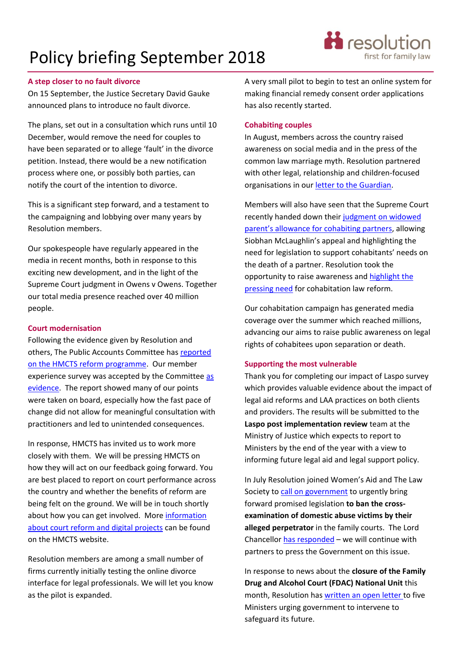## Policy briefing September 2018

#### **A step closer to no fault divorce**

On 15 September, the Justice Secretary David Gauke announced plans to introduce no fault divorce.

The plans, set out in a consultation which runs until 10 December, would remove the need for couples to have been separated or to allege 'fault' in the divorce petition. Instead, there would be a new notification process where one, or possibly both parties, can notify the court of the intention to divorce.

This is a significant step forward, and a testament to the campaigning and lobbying over many years by Resolution members.

Our spokespeople have regularly appeared in the media in recent months, both in response to this exciting new development, and in the light of the Supreme Court judgment in Owens v Owens. Together our total media presence reached over 40 million people.

#### **Court modernisation**

Following the evidence given by Resolution and others, [The](https://publications.parliament.uk/pa/cm201719/cmselect/cmpubacc/976/976.pdf) Public Accounts Committee has [reported](https://publications.parliament.uk/pa/cm201719/cmselect/cmpubacc/976/976.pdf)  [on the HMCTS reform programme.](https://publications.parliament.uk/pa/cm201719/cmselect/cmpubacc/976/976.pdf) Our member experience survey was accepted by the Committee [as](http://data.parliament.uk/writtenevidence/committeeevidence.svc/evidencedocument/public-accounts-committee/transforming-courts-and-tribunals/written/83877.pdf)  [evidence.](http://data.parliament.uk/writtenevidence/committeeevidence.svc/evidencedocument/public-accounts-committee/transforming-courts-and-tribunals/written/83877.pdf) The report showed many of our points were taken on board, especially how the fast pace of change did not allow for meaningful consultation with practitioners and led to unintended consequences.

In response, HMCTS has invited us to work more closely with them. We will be pressing HMCTS on how they will act on our feedback going forward. You are best placed to report on court performance across the country and whether the benefits of reform are being felt on the ground. We will be in touch shortly about how you can get involved. More [information](https://www.gov.uk/government/news/hmcts-reform-programme)  [about court reform and digital projects](https://www.gov.uk/government/news/hmcts-reform-programme) can be found on the HMCTS website.

Resolution members are among a small number of firms currently initially testing the online divorce interface for legal professionals. We will let you know as the pilot is expanded.

A very small pilot to begin to test an online system for making financial remedy consent order applications has also recently started.

#### **Cohabiting couples**

In August, members across the country raised awareness on social media and in the press of the common law marriage myth. Resolution partnered with other legal, relationship and children-focused organisations in ou[r letter to the Guardian.](https://www.theguardian.com/law/2018/aug/18/cohabiting-couples-need-basic-legal-protections)

Members will also have seen that the Supreme Court recently handed down their [judgment on widowed](https://www.supremecourt.uk/cases/uksc-2017-0035.html)  [parent's allowance for cohabiting partners](https://www.supremecourt.uk/cases/uksc-2017-0035.html), allowing Siobhan McLaughlin's appeal and highlighting the need for legislation to support cohabitants' needs on the death of a partner. Resolution took the opportunity to raise awareness and [highlight the](https://www.ftadviser.com/property/2018/09/05/how-cohabiting-couples-can-limit-potential-financial-disadvantages/)  [pressing need](https://www.ftadviser.com/property/2018/09/05/how-cohabiting-couples-can-limit-potential-financial-disadvantages/) for cohabitation law reform.

Our cohabitation campaign has generated media coverage over the summer which reached millions, advancing our aims to raise public awareness on legal rights of cohabitees upon separation or death.

#### **Supporting the most vulnerable**

Thank you for completing our impact of Laspo survey which provides valuable evidence about the impact of legal aid reforms and LAA practices on both clients and providers. The results will be submitted to the **Laspo post implementation review** team at the Ministry of Justice which expects to report to Ministers by the end of the year with a view to informing future legal aid and legal support policy.

In July Resolution joined Women's Aid and The Law Society to [call on government](https://1q7dqy2unor827bqjls0c4rn-wpengine.netdna-ssl.com/wp-content/uploads/2018/07/Letter-to-Lord-Chancellor-and-Secretary-of-State-for-Justice-18072018-1.pdf) to urgently bring forward promised legislation **to ban the crossexamination of domestic abuse victims by their alleged perpetrator** in the family courts. The Lord Chancellor [has responded](http://www.resolution.org.uk/site_content_files/files/180727_dg_to_resolution_waid_law_society.pdf) – we will continue with partners to press the Government on this issue.

In response to news about the **closure of the Family Drug and Alcohol Court (FDAC) National Unit** this month, Resolution has [written an open letter](https://gallery.mailchimp.com/68c09d84c98902bd7f8107696/files/9e4afacd-7986-4869-b0cb-f7eb0ef27e86/FDAC_letter_July_2018.pdf) to five Ministers urging government to intervene to safeguard its future.